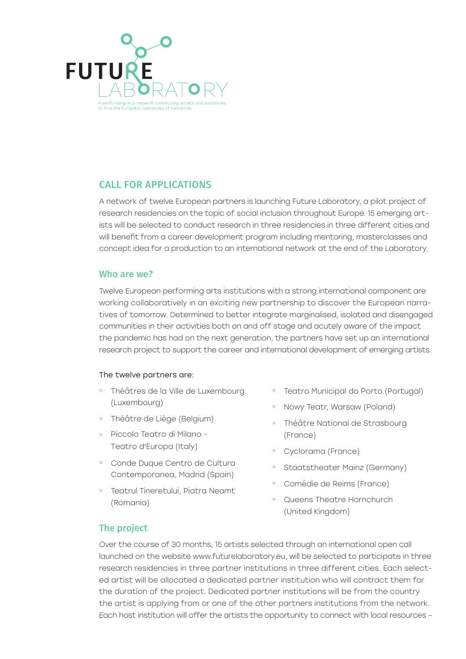

# CALL FOR APPLICATIONS

A network of twelve European partners is launching Future Laboratory, a pilot project of research residencies on the topic of social inclusion throughout Europe. 15 emerging artists will be selected to conduct research in three residencies in three different cities and will benefit from a career development program including mentoring, masterclasses and concept idea for a production to an international network at the end of the Laboratory.

### Who are we?

Twelve European performing arts institutions with a strong international component are working collaboratively in an exciting new partnership to discover the European narratives of tomorrow. Determined to better integrate marginalised, isolated and disengaged communities in their activities both on and off stage and acutely aware of the impact the pandemic has had on the next generation, the partners have set up an international research project to support the career and international development of emerging artists.

#### The twelve partners are:

- ° Théâtres de la Ville de Luxembourg (Luxembourg)
- ° Théâtre de Liège (Belgium)
- ° Piccolo Teatro di Milano Teatro d'Europa (Italy)
- ° Conde Duque Centro de Cultura Contemporanea, Madrid (Spain)
- ° Teatrul Tineretului, Piatra Neamt (Romania)
- ° Teatro Municipal do Porto (Portugal)
- ° Nowy Teatr, Warsaw (Poland)
- ° Théâtre National de Strasbourg (France)
- ° Cyclorama (France)
- Staatstheater Mainz (Germany)
- Comédie de Reims (France)
- ° Queens Theatre Hornchurch (United Kingdom)

# The project

Over the course of 30 months, 15 artists selected through an international open call launched on the website www.futurelaboratory.eu, will be selected to participate in three research residencies in three partner institutions in three different cities. Each selected artist will be allocated a dedicated partner institution who will contract them for the duration of the project. Dedicated partner institutions will be from the country the artist is applying from or one of the other partners institutions from the network. Each host institution will offer the artists the opportunity to connect with local resources –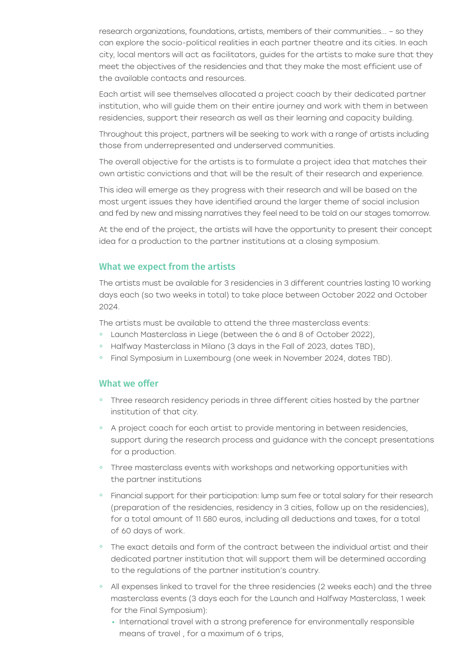research organizations, foundations, artists, members of their communities... – so they can explore the socio-political realities in each partner theatre and its cities. In each city, local mentors will act as facilitators, guides for the artists to make sure that they meet the objectives of the residencies and that they make the most efficient use of the available contacts and resources.

Each artist will see themselves allocated a project coach by their dedicated partner institution, who will guide them on their entire journey and work with them in between residencies, support their research as well as their learning and capacity building.

Throughout this project, partners will be seeking to work with a range of artists including those from underrepresented and underserved communities.

The overall objective for the artists is to formulate a project idea that matches their own artistic convictions and that will be the result of their research and experience.

This idea will emerge as they progress with their research and will be based on the most urgent issues they have identified around the larger theme of social inclusion and fed by new and missing narratives they feel need to be told on our stages tomorrow.

At the end of the project, the artists will have the opportunity to present their concept idea for a production to the partner institutions at a closing symposium.

### What we expect from the artists

The artists must be available for 3 residencies in 3 different countries lasting 10 working days each (so two weeks in total) to take place between October 2022 and October 2024.

The artists must be available to attend the three masterclass events:

- ° Launch Masterclass in Liege (between the 6 and 8 of October 2022),
- ° Halfway Masterclass in Milano (3 days in the Fall of 2023, dates TBD),
- ° Final Symposium in Luxembourg (one week in November 2024, dates TBD).

### What we offer

- ° Three research residency periods in three different cities hosted by the partner institution of that city.
- ° A project coach for each artist to provide mentoring in between residencies, support during the research process and guidance with the concept presentations for a production.
- Three masterclass events with workshops and networking opportunities with the partner institutions
- ° Financial support for their participation: lump sum fee or total salary for their research (preparation of the residencies, residency in 3 cities, follow up on the residencies), for a total amount of 11 580 euros, including all deductions and taxes, for a total of 60 days of work.
- ° The exact details and form of the contract between the individual artist and their dedicated partner institution that will support them will be determined according to the regulations of the partner institution's country.
- ° All expenses linked to travel for the three residencies (2 weeks each) and the three masterclass events (3 days each for the Launch and Halfway Masterclass, 1 week for the Final Symposium):
	- International travel with a strong preference for environmentally responsible means of travel , for a maximum of 6 trips,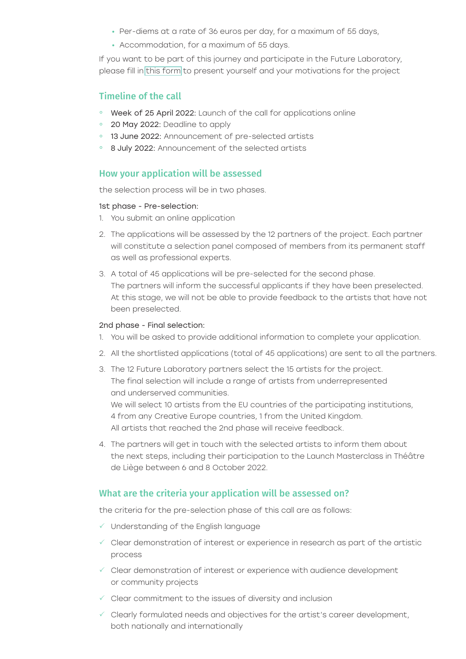- Per-diems at a rate of 36 euros per day, for a maximum of 55 days,
- Accommodation, for a maximum of 55 days.

If you want to be part of this journey and participate in the Future Laboratory, please fill in [this form](www.futurelaboratory.eu) to present yourself and your motivations for the project

# Timeline of the call

- ° Week of 25 April 2022: Launch of the call for applications online
- 20 May 2022: Deadline to apply
- ° 13 June 2022: Announcement of pre-selected artists
- <sup>o</sup> 8 July 2022: Announcement of the selected artists

# How your application will be assessed

the selection process will be in two phases.

#### 1st phase - Pre-selection:

- 1. You submit an online application
- 2. The applications will be assessed by the 12 partners of the project. Each partner will constitute a selection panel composed of members from its permanent staff as well as professional experts.
- 3. A total of 45 applications will be pre-selected for the second phase. The partners will inform the successful applicants if they have been preselected. At this stage, we will not be able to provide feedback to the artists that have not been preselected.

### 2nd phase - Final selection:

- 1. You will be asked to provide additional information to complete your application.
- 2. All the shortlisted applications (total of 45 applications) are sent to all the partners.
- 3. The 12 Future Laboratory partners select the 15 artists for the project. The final selection will include a range of artists from underrepresented and underserved communities. We will select 10 artists from the EU countries of the participating institutions,

4 from any Creative Europe countries, 1 from the United Kingdom. All artists that reached the 2nd phase will receive feedback.

4. The partners will get in touch with the selected artists to inform them about the next steps, including their participation to the Launch Masterclass in Théâtre de Liège between 6 and 8 October 2022.

### What are the criteria your application will be assessed on?

the criteria for the pre-selection phase of this call are as follows:

- Understanding of the English language
- $\checkmark$  Clear demonstration of interest or experience in research as part of the artistic process
- $\checkmark$  Clear demonstration of interest or experience with audience development or community projects
- $\checkmark$  Clear commitment to the issues of diversity and inclusion
- $\checkmark$  Clearly formulated needs and objectives for the artist's career development, both nationally and internationally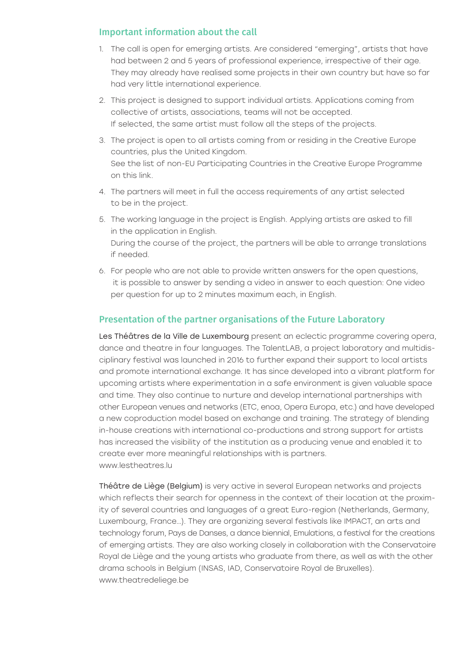# Important information about the call

- 1. The call is open for emerging artists. Are considered "emerging", artists that have had between 2 and 5 years of professional experience, irrespective of their age. They may already have realised some projects in their own country but have so far had very little international experience.
- 2. This project is designed to support individual artists. Applications coming from collective of artists, associations, teams will not be accepted. If selected, the same artist must follow all the steps of the projects.
- 3. The project is open to all artists coming from or residing in the Creative Europe countries, plus the United Kingdom. See the list of non-EU Participating Countries in the Creative Europe Programme on this link.
- 4. The partners will meet in full the access requirements of any artist selected to be in the project.
- 5. The working language in the project is English. Applying artists are asked to fill in the application in English. During the course of the project, the partners will be able to arrange translations if needed.
- 6. For people who are not able to provide written answers for the open questions, it is possible to answer by sending a video in answer to each question: One video per question for up to 2 minutes maximum each, in English.

# Presentation of the partner organisations of the Future Laboratory

Les Théâtres de la Ville de Luxembourg present an eclectic programme covering opera, dance and theatre in four languages. The TalentLAB, a project laboratory and multidisciplinary festival was launched in 2016 to further expand their support to local artists and promote international exchange. It has since developed into a vibrant platform for upcoming artists where experimentation in a safe environment is given valuable space and time. They also continue to nurture and develop international partnerships with other European venues and networks (ETC, enoa, Opera Europa, etc.) and have developed a new coproduction model based on exchange and training. The strategy of blending in-house creations with international co-productions and strong support for artists has increased the visibility of the institution as a producing venue and enabled it to create ever more meaningful relationships with is partners. www.lestheatres.lu

Théâtre de Liège (Belgium) is very active in several European networks and projects which reflects their search for openness in the context of their location at the proximity of several countries and languages of a great Euro-region (Netherlands, Germany, Luxembourg, France…). They are organizing several festivals like IMPACT, an arts and technology forum, Pays de Danses, a dance biennial, Emulations, a festival for the creations of emerging artists. They are also working closely in collaboration with the Conservatoire Royal de Liège and the young artists who graduate from there, as well as with the other drama schools in Belgium (INSAS, IAD, Conservatoire Royal de Bruxelles). www.theatredeliege.be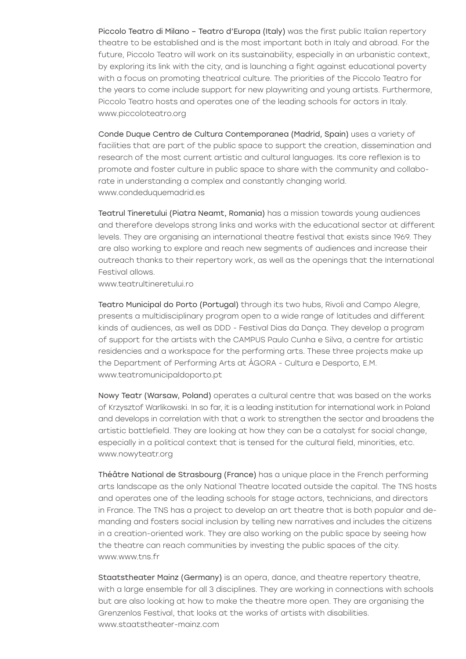Piccolo Teatro di Milano – Teatro d'Europa (Italy) was the first public Italian repertory theatre to be established and is the most important both in Italy and abroad. For the future, Piccolo Teatro will work on its sustainability, especially in an urbanistic context, by exploring its link with the city, and is launching a fight against educational poverty with a focus on promoting theatrical culture. The priorities of the Piccolo Teatro for the years to come include support for new playwriting and young artists. Furthermore, Piccolo Teatro hosts and operates one of the leading schools for actors in Italy. www.piccoloteatro.org

Conde Duque Centro de Cultura Contemporanea (Madrid, Spain) uses a variety of facilities that are part of the public space to support the creation, dissemination and research of the most current artistic and cultural languages. Its core reflexion is to promote and foster culture in public space to share with the community and collaborate in understanding a complex and constantly changing world. www.condeduquemadrid.es

Teatrul Tineretului (Piatra Neamt, Romania) has a mission towards young audiences and therefore develops strong links and works with the educational sector at different levels. They are organising an international theatre festival that exists since 1969. They are also working to explore and reach new segments of audiences and increase their outreach thanks to their repertory work, as well as the openings that the International Festival allows.

www.teatrultineretului.ro

Teatro Municipal do Porto (Portugal) through its two hubs, Rivoli and Campo Alegre, presents a multidisciplinary program open to a wide range of latitudes and different kinds of audiences, as well as DDD - Festival Dias da Dança. They develop a program of support for the artists with the CAMPUS Paulo Cunha e Silva, a centre for artistic residencies and a workspace for the performing arts. These three projects make up the Department of Performing Arts at ÁGORA - Cultura e Desporto, E.M. www.teatromunicipaldoporto.pt

Nowy Teatr (Warsaw, Poland) operates a cultural centre that was based on the works of Krzysztof Warlikowski. In so far, it is a leading institution for international work in Poland and develops in correlation with that a work to strengthen the sector and broadens the artistic battlefield. They are looking at how they can be a catalyst for social change, especially in a political context that is tensed for the cultural field, minorities, etc. www.nowyteatr.org

Théâtre National de Strasbourg (France) has a unique place in the French performing arts landscape as the only National Theatre located outside the capital. The TNS hosts and operates one of the leading schools for stage actors, technicians, and directors in France. The TNS has a project to develop an art theatre that is both popular and demanding and fosters social inclusion by telling new narratives and includes the citizens in a creation-oriented work. They are also working on the public space by seeing how the theatre can reach communities by investing the public spaces of the city. www.www.tns.fr

Staatstheater Mainz (Germany) is an opera, dance, and theatre repertory theatre, with a large ensemble for all 3 disciplines. They are working in connections with schools but are also looking at how to make the theatre more open. They are organising the Grenzenlos Festival, that looks at the works of artists with disabilities. www.staatstheater-mainz.com